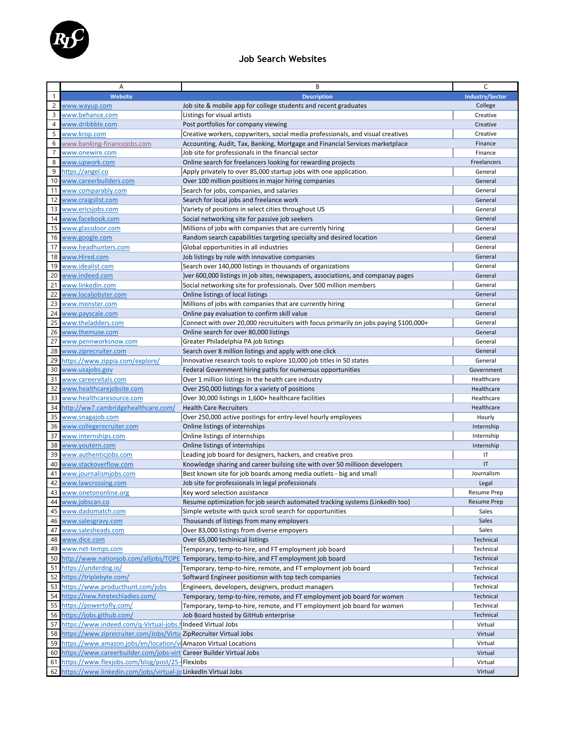

## **Job Search Websites**

|                | Α                                                                   | B                                                                                          | C                      |
|----------------|---------------------------------------------------------------------|--------------------------------------------------------------------------------------------|------------------------|
| $\mathbf{1}$   | Website                                                             | <b>Description</b>                                                                         | <b>Industry/Sector</b> |
| $\overline{c}$ | www.wayup.com                                                       | Job site & mobile app for college students and recent graduates                            | College                |
| 3              | www.behance.com                                                     | Listings for visual artists                                                                | Creative               |
| $\overline{4}$ | www.dribbble.com                                                    | Post portfolios for company viewing                                                        | Creative               |
| 5              | www.krop.com                                                        | Creative workers, copywriters, social media professionals, and visual creatives            | Creative               |
|                |                                                                     |                                                                                            |                        |
| 6              | www.banking-financejobs.com                                         | Accounting, Audit, Tax, Banking, Mortgage and Financial Services marketplace               | Finance                |
| $\overline{7}$ | www.onewire.com                                                     | Job site for professionals in the financial sector                                         | Finance                |
| 8              | www.upwork.com                                                      | Online search for freelancers looking for rewarding projects                               | Freelancers            |
| 9              | https://angel.co                                                    | Apply privately to over 85,000 startup jobs with one application.                          | General                |
| 10             | www.careerbuilders.com                                              | Over 100 million positions in major hiring companies                                       | General                |
| 11             | www.comparably.com                                                  | Search for jobs, companies, and salaries                                                   | General                |
| 12             | www.craigslist.com                                                  | Search for local jobs and freelance work                                                   | General                |
| 13             | www.ericsjobs.com                                                   | Variety of positions in select cities throughout US                                        | General                |
| 14             | www.facebook.com                                                    | Social networking site for passive job seekers                                             | General                |
| 15             | www.glassdoor.com                                                   | Millions of jobs with companies that are currently hiring                                  | General                |
| 16             | www.google.com                                                      | Random search capabilities targeting specialty and desired location                        | General                |
| 17             | www.headhunters.com                                                 | Global opportunities in all industries                                                     | General                |
| 18             | www.Hired.com                                                       |                                                                                            | General                |
|                |                                                                     | Job listings by role with innovative companies                                             |                        |
| 19             | www.idealist.com                                                    | Search over 140,000 listings in thousands of organizations                                 | General                |
| 20             | www.indeed.com                                                      | ) ver 600,000 listings in job sites, newspapers, associations, and companay pages          | General                |
| 21             | www.linkedin.com                                                    | Social networking site for professionals. Over 500 million members                         | General                |
| 22             | www.localjobster.com                                                | Online listings of local listings                                                          | General                |
| 23             | www.monster.com                                                     | Millions of jobs with companies that are currently hiring                                  | General                |
| 24             | www.payscale.com                                                    | Online pay evaluation to confirm skill value                                               | General                |
| 25             | www.theladders.com                                                  | Connect with over 20,000 recruituiters with focus primarily on jobs paying \$100,000+      | General                |
| 26             | www.themuse.com                                                     | Online search for over 80,000 listings                                                     | General                |
| 27             | www.pennworksnow.com                                                | Greater Philadelphia PA job listings                                                       | General                |
| 28             | www.ziprecruiter.com                                                | Search over 8 million listings and apply with one click                                    | General                |
| 29             | https://www.zippia.com/explore/                                     | Innovative research tools to explore 10,000 job titles in 50 states                        | General                |
| 30             | www.usajobs.gov                                                     | Federal Government hiring paths for numerous opportunities                                 | Government             |
| 31             | www.careervitals.com                                                | Over 1 million listings in the health care industry                                        | Healthcare             |
| 32             |                                                                     |                                                                                            |                        |
|                | www.healthcarejobsite.com                                           | Over 250,000 listings for a variety of positions                                           | Healthcare             |
| 33             | www.healthcaresource.com                                            | Over 30,000 listings in 1,600+ healthcare facilities                                       | Healthcare             |
| 34             | http://ww7.cambridgehealthcare.com/                                 | <b>Health Care Recruiters</b>                                                              | Healthcare             |
| 35             | www.snagajob.com                                                    | Over 250,000 active postings for entry-level hourly employees                              | Hourly                 |
| 36             | www.collegerecruiter.com                                            | Online listings of internships                                                             | Internship             |
| 37             | www.internships.com                                                 | Online listings of internships                                                             | Internship             |
| 38             | www.youtern.com                                                     | Online listings of internships                                                             | Internship             |
| 39             | www.authenticjobs.com                                               | Leading job board for designers, hackers, and creative pros                                | IT                     |
| 40             | www.stackoverflow.com                                               | Knowledge sharing and career builsing site with over 50 millioon developers                | IT                     |
| 41             | www.journalismjobs.com                                              | Best known site for job boards among media outlets - big and small                         | Journalism             |
| 42             | www.lawcrossing.com                                                 | Job site for professionals in legal professionals                                          | Legal                  |
|                | 43 www.onetononline.org                                             | Key word selection assistance                                                              | <b>Resume Prep</b>     |
| 44             | www.jobscan.co                                                      | Resume optimization for job search automated tracking systems (LinkedIn too)               | <b>Resume Prep</b>     |
| 45             | www.dadomatch.com                                                   | Simple website with quick scroll search for opportunities                                  | Sales                  |
| 46             | www.salesgravy.com                                                  | Thousands of listings from many employers                                                  | Sales                  |
| 47             |                                                                     |                                                                                            |                        |
|                | www.salesheads.com                                                  | Over 83,000 listings from diverse empoyers                                                 | Sales                  |
| 48             | www.dice.com                                                        | Over 65,000 techinical listings                                                            | Technical              |
| 49             | www.net-temps.com                                                   | Temporary, temp-to-hire, and FT employment job board                                       | Technical              |
| 50             |                                                                     | http://www.nationjob.com/alljobs/TOPE Temporary, temp-to-hire, and FT employment job board | Technical              |
| 51             | https://underdog.io/                                                | Temporary, temp-to-hire, remote, and FT employment job board                               | Technical              |
| 52             | https://triplebyte.com/                                             | Softward Engineer positionsn with top tech companies                                       | Technical              |
| 53             | https://www.producthunt.com/jobs                                    | Engineers, developers, designers, product managers                                         | Technical              |
| 54             | https://new.hiretechladies.com/                                     | Temporary, temp-to-hire, remote, and FT employment job board for women                     | Technical              |
| 55             | https://powertofly.com/                                             | Temporary, temp-to-hire, remote, and FT employment job board for women                     | Technical              |
| 56             | https://jobs.github.com/                                            | Job Board hosted by GitHub enterprise                                                      | Technical              |
| 57             | https://www.indeed.com/q-Virtual-jobs.hlndeed Virtual Jobs          |                                                                                            | Virtual                |
| 58             | https://www.ziprecruiter.com/Jobs/Virtu ZipRecruiter Virtual Jobs   |                                                                                            | Virtual                |
| 59             | https://www.amazon.jobs/en/location/vi Amazon Virtual Locations     |                                                                                            | Virtual                |
| 60             | https://www.careerbuilder.com/jobs-virt Career Builder Virtual Jobs |                                                                                            | Virtual                |
|                |                                                                     |                                                                                            |                        |
| 61             | https://www.flexjobs.com/blog/post/25- FlexJobs                     |                                                                                            | Virtual                |
|                | 62 https://www.linkedin.com/jobs/virtual-jo LinkedIn Virtual Jobs   |                                                                                            | Virtual                |